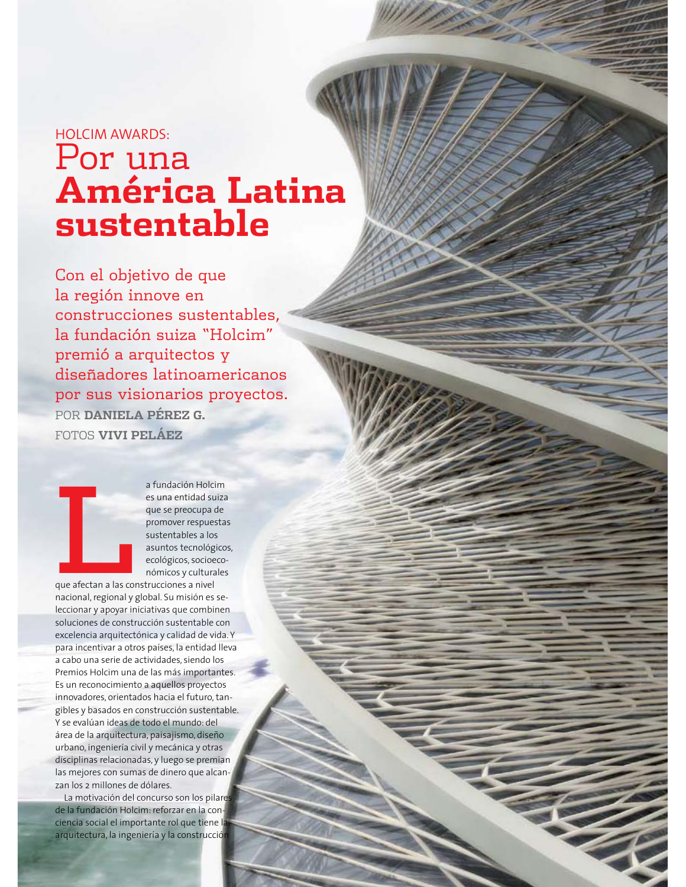## HOLCIM AWARDS: Por una **América Latina** sustentable

Con el objetivo de que la región innove en construcciones sustentables. la fundación suiza "Holcim" premió a arquitectos y diseñadores latinoamericanos por sus visionarios proyectos. POR **DANIELA PÉREZ G.** FOTOS VIVI PELÁEZ



a fundación Holcim es una entidad suiza que se preocupa de promover respuestas sustentables a los asuntos tecnológicos, ecológicos, socioeconómicos y culturales

que afectan a las construcciones a nivel nacional, regional y global. Su misión es seleccionar y apoyar iniciativas que combinen soluciones de construcción sustentable con excelencia arquitectónica y calidad de vida. Y para incentivar a otros países, la entidad lleva a cabo una serie de actividades, siendo los Premios Holcim una de las más importantes. Es un reconocimiento a aquellos proyectos innovadores, orientados hacia el futuro, tangibles y basados en construcción sustentable. Y se evalúan ideas de todo el mundo: del área de la arquitectura, paisajismo, diseño urbano, ingeniería civil y mecánica y otras disciplinas relacionadas, y luego se premian las mejores con sumas de dinero que alcanzan los 2 millones de dólares.

La motivación del concurso son los pilares de la fundación Holcim: reforzar en la conciencia social el importante rol que tiene la arquitectura, la ingeniería y la construcción